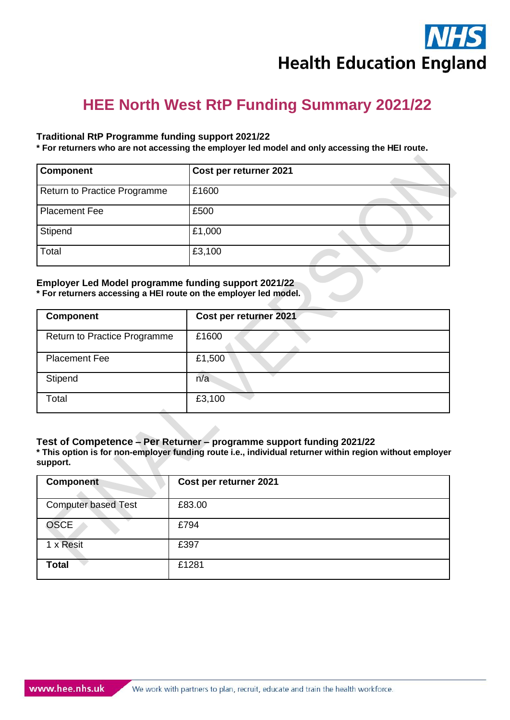# **HEE North West RtP Funding Summary 2021/22**

## **Traditional RtP Programme funding support 2021/22**

**\* For returners who are not accessing the employer led model and only accessing the HEI route.** 

| <b>Component</b>             | Cost per returner 2021 |  |
|------------------------------|------------------------|--|
| Return to Practice Programme | £1600                  |  |
| <b>Placement Fee</b>         | £500                   |  |
| Stipend                      | £1,000                 |  |
| Total                        | £3,100                 |  |

#### **Employer Led Model programme funding support 2021/22 \* For returners accessing a HEI route on the employer led model.**

| <b>Component</b>             | Cost per returner 2021 |
|------------------------------|------------------------|
| Return to Practice Programme | £1600                  |
| <b>Placement Fee</b>         | £1,500                 |
| Stipend                      | n/a                    |
| Total                        | £3,100                 |

#### **Test of Competence – Per Returner – programme support funding 2021/22**

**\* This option is for non-employer funding route i.e., individual returner within region without employer support.** 

| <b>Component</b>           | Cost per returner 2021 |
|----------------------------|------------------------|
| <b>Computer based Test</b> | £83.00                 |
| <b>OSCE</b>                | £794                   |
| 1 x Resit                  | £397                   |
| <b>Total</b>               | £1281                  |